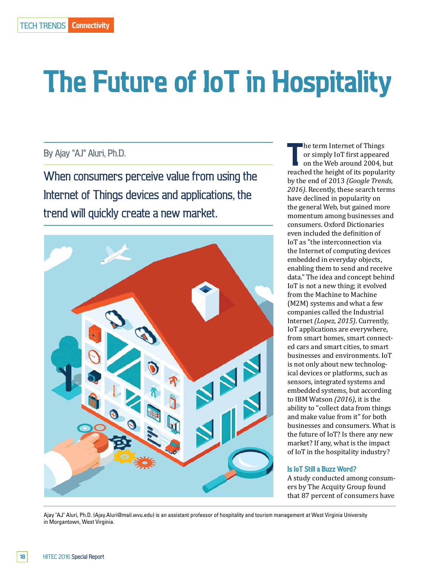# **The Future of IoT in Hospitality**

# By Ajay "AJ" Aluri, Ph.D.

When consumers perceive value from using the Internet of Things devices and applications, the trend will quickly create a new market.



**The term Internet of Things<br>
or simply IoT first appeared<br>
on the Web around 2004, but<br>
reached the height of its popularity** he term Internet of Things or simply IoT first appeared on the Web around 2004, but by the end of 2013 *(Google Trends, 2016)*. Recently, these search terms have declined in popularity on the general Web, but gained more momentum among businesses and consumers. Oxford Dictionaries even included the definition of IoT as "the interconnection via the Internet of computing devices embedded in everyday objects, enabling them to send and receive data." The idea and concept behind IoT is not a new thing; it evolved from the Machine to Machine (M2M) systems and what a few companies called the Industrial Internet *(Lopez, 2015)*. Currently, IoT applications are everywhere, from smart homes, smart connected cars and smart cities, to smart businesses and environments. IoT is not only about new technological devices or platforms, such as sensors, integrated systems and embedded systems, but according to IBM Watson *(2016)*, it is the ability to "collect data from things and make value from it" for both businesses and consumers. What is the future of IoT? Is there any new market? If any, what is the impact of IoT in the hospitality industry?

#### **Is IoT Still a Buzz Word?**

A study conducted among consumers by The Acquity Group found that 87 percent of consumers have

Ajay "AJ" Aluri, Ph.D. (Ajay.Aluri@mail.wvu.edu) is an assistant professor of hospitality and tourism management at West Virginia University in Morgantown, West Virginia.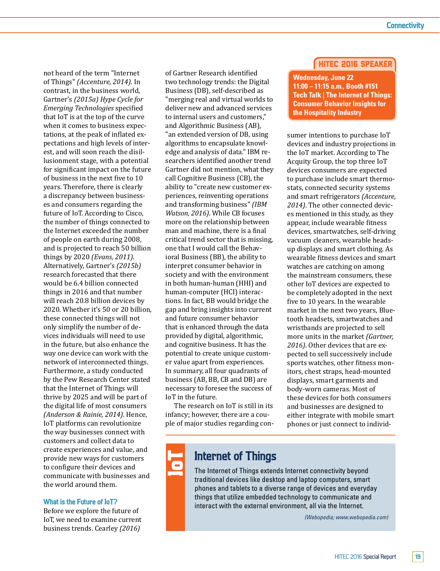not heard of the term "Internet of Things" *(Accenture, 2014)*. In contrast, in the business world, Gartner's *(2015a) Hype Cycle for Emerging Technologies* specified that IoT is at the top of the curve when it comes to business expectations, at the peak of inflated expectations and high levels of interest, and will soon reach the disillusionment stage, with a potential for significant impact on the future of business in the next five to 10 years. Therefore, there is clearly a discrepancy between businesses and consumers regarding the future of IoT. According to Cisco, the number of things connected to the Internet exceeded the number of people on earth during 2008, and is projected to reach 50 billion things by 2020 *(Evans, 2011)*. Alternatively, Gartner's *(2015b)* research forecasted that there would be 6.4 billion connected things in 2016 and that number will reach 20.8 billion devices by 2020. Whether it's 50 or 20 billion, these connected things will not only simplify the number of devices individuals will need to use in the future, but also enhance the way one device can work with the network of interconnected things. Furthermore, a study conducted by the Pew Research Center stated that the Internet of Things will thrive by 2025 and will be part of the digital life of most consumers *(Anderson & Rainie, 2014)*. Hence, IoT platforms can revolutionize the way businesses connect with customers and collect data to create experiences and value, and provide new ways for customers to configure their devices and communicate with businesses and the world around them.

### **What is the Future of IoT?**

Before we explore the future of IoT, we need to examine current business trends. Cearley *(2016)*

of Gartner Research identified two technology trends: the Digital Business (DB), self-described as "merging real and virtual worlds to deliver new and advanced services to internal users and customers," and Algorithmic Business (AB), "an extended version of DB, using algorithms to encapsulate knowledge and analysis of data." IBM researchers identified another trend Gartner did not mention, what they call Cognitive Business (CB), the ability to "create new customer experiences, reinventing operations and transforming business" *(IBM Watson, 2016)*. While CB focuses more on the relationship between man and machine, there is a final critical trend sector that is missing, one that I would call the Behavioral Business (BB), the ability to interpret consumer behavior in society and with the environment in both human-human (HHI) and human-computer (HCI) interactions. In fact, BB would bridge the gap and bring insights into current and future consumer behavior that is enhanced through the data provided by digital, algorithmic, and cognitive business. It has the potential to create unique customer value apart from experiences. In summary, all four quadrants of business (AB, BB, CB and DB) are necessary to foresee the success of IoT in the future.

The research on IoT is still in its infancy; however, there are a couple of major studies regarding con-

## HITEC 2016 Speaker

**Wednesday, June 22 11:00 – 11:15 a.m., Booth #151 Tech Talk** | **The Internet of Things: Consumer Behavior Insights for the Hospitality Industry**

sumer intentions to purchase IoT devices and industry projections in the IoT market. According to The Acquity Group, the top three IoT devices consumers are expected to purchase include smart thermostats, connected security systems and smart refrigerators *(Accenture, 2014)*. The other connected devices mentioned in this study, as they appear, include wearable fitness devices, smartwatches, self-driving vacuum cleaners, wearable headsup displays and smart clothing. As wearable fitness devices and smart watches are catching on among the mainstream consumers, these other IoT devices are expected to be completely adopted in the next five to 10 years. In the wearable market in the next two years, Bluetooth headsets, smartwatches and wristbands are projected to sell more units in the market *(Gartner, 2016)*. Other devices that are expected to sell successively include sports watches, other fitness monitors, chest straps, head-mounted displays, smart garments and body-worn cameras. Most of these devices for both consumers and businesses are designed to either integrate with mobile smart phones or just connect to individ-

# **Internet of Things**

The Internet of Things extends Internet connectivity beyond traditional devices like desktop and laptop computers, smart phones and tablets to a diverse range of devices and everyday things that utilize embedded technology to communicate and interact with the external environment, all via the Internet.

*(Webopedia; www.webopedia.com)*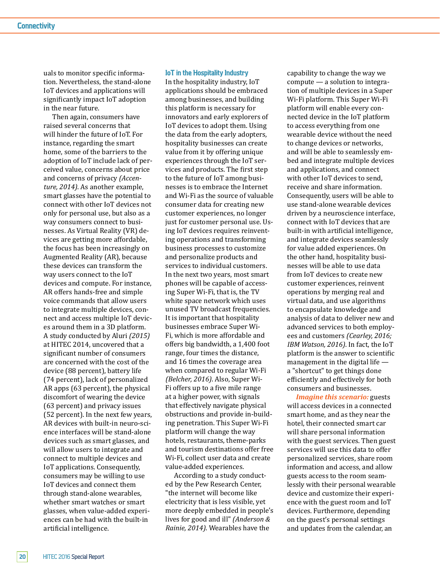uals to monitor specific information. Nevertheless, the stand-alone IoT devices and applications will significantly impact IoT adoption in the near future.

Then again, consumers have raised several concerns that will hinder the future of IoT. For instance, regarding the smart home, some of the barriers to the adoption of IoT include lack of perceived value, concerns about price and concerns of privacy *(Accenture, 2014)*. As another example, smart glasses have the potential to connect with other IoT devices not only for personal use, but also as a way consumers connect to businesses. As Virtual Reality (VR) devices are getting more affordable, the focus has been increasingly on Augmented Reality (AR), because these devices can transform the way users connect to the IoT devices and compute. For instance, AR offers hands-free and simple voice commands that allow users to integrate multiple devices, connect and access multiple IoT devices around them in a 3D platform. A study conducted by Aluri *(2015)*  at HITEC 2014, uncovered that a significant number of consumers are concerned with the cost of the device (88 percent), battery life (74 percent), lack of personalized AR apps (63 percent), the physical discomfort of wearing the device (63 percent) and privacy issues (52 percent). In the next few years, AR devices with built-in neuro-science interfaces will be stand-alone devices such as smart glasses, and will allow users to integrate and connect to multiple devices and IoT applications. Consequently, consumers may be willing to use IoT devices and connect them through stand-alone wearables, whether smart watches or smart glasses, when value-added experiences can be had with the built-in artificial intelligence.

#### **IoT in the Hospitality Industry**

In the hospitality industry, IoT applications should be embraced among businesses, and building this platform is necessary for innovators and early explorers of IoT devices to adopt them. Using the data from the early adopters, hospitality businesses can create value from it by offering unique experiences through the IoT services and products. The first step to the future of IoT among businesses is to embrace the Internet and Wi-Fi as the source of valuable consumer data for creating new customer experiences, no longer just for customer personal use. Using IoT devices requires reinventing operations and transforming business processes to customize and personalize products and services to individual customers. In the next two years, most smart phones will be capable of accessing Super Wi-Fi, that is, the TV white space network which uses unused TV broadcast frequencies. It is important that hospitality businesses embrace Super Wi-Fi, which is more affordable and offers big bandwidth, a 1,400 foot range, four times the distance, and 16 times the coverage area when compared to regular Wi-Fi *(Belcher, 2016)*. Also, Super Wi-Fi offers up to a five mile range at a higher power, with signals that effectively navigate physical obstructions and provide in-building penetration. This Super Wi-Fi platform will change the way hotels, restaurants, theme-parks and tourism destinations offer free Wi-Fi, collect user data and create value-added experiences.

According to a study conducted by the Pew Research Center, "the internet will become like electricity that is less visible, yet more deeply embedded in people's lives for good and ill" *(Anderson & Rainie, 2014)*. Wearables have the

capability to change the way we compute — a solution to integration of multiple devices in a Super Wi-Fi platform. This Super Wi-Fi platform will enable every connected device in the IoT platform to access everything from one wearable device without the need to change devices or networks, and will be able to seamlessly embed and integrate multiple devices and applications, and connect with other IoT devices to send, receive and share information. Consequently, users will be able to use stand-alone wearable devices driven by a neuroscience interface, connect with IoT devices that are built-in with artificial intelligence, and integrate devices seamlessly for value added experiences. On the other hand, hospitality businesses will be able to use data from IoT devices to create new customer experiences, reinvent operations by merging real and virtual data, and use algorithms to encapsulate knowledge and analysis of data to deliver new and advanced services to both employees and customers *(Cearley, 2016; IBM Watson, 2016)*. In fact, the IoT platform is the answer to scientific management in the digital life a "shortcut" to get things done efficiently and effectively for both consumers and businesses.

*Imagine this scenario:* guests will access devices in a connected smart home, and as they near the hotel, their connected smart car will share personal information with the guest services. Then guest services will use this data to offer personalized services, share room information and access, and allow guests access to the room seamlessly with their personal wearable device and customize their experience with the guest room and IoT devices. Furthermore, depending on the guest's personal settings and updates from the calendar, an